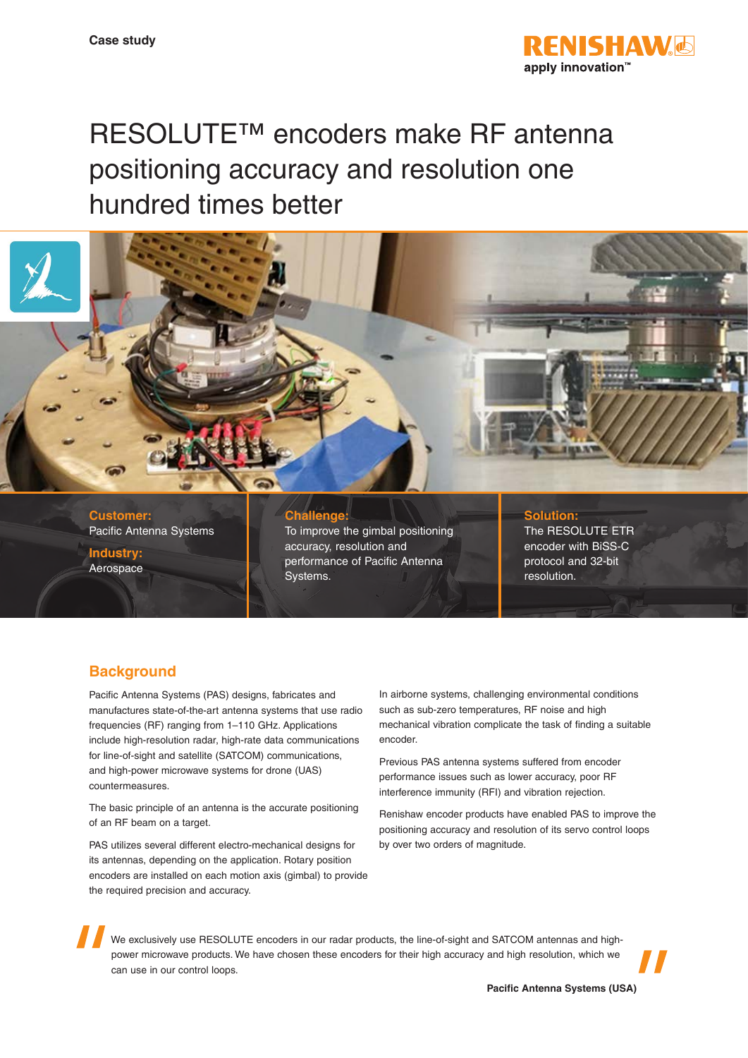

# RESOLUTE™ encoders make RF antenna positioning accuracy and resolution one hundred times better



Pacific Antenna Systems

**Industry:** Aerospace To improve the gimbal positioning accuracy, resolution and performance of Pacific Antenna Systems.

The RESOLUTE ETR encoder with BiSS-C protocol and 32-bit resolution.

## **Background**

Pacific Antenna Systems (PAS) designs, fabricates and manufactures state-of-the-art antenna systems that use radio frequencies (RF) ranging from 1–110 GHz. Applications include high-resolution radar, high-rate data communications for line-of-sight and satellite (SATCOM) communications, and high-power microwave systems for drone (UAS) countermeasures.

The basic principle of an antenna is the accurate positioning of an RF beam on a target.

PAS utilizes several different electro-mechanical designs for its antennas, depending on the application. Rotary position encoders are installed on each motion axis (gimbal) to provide the required precision and accuracy.

In airborne systems, challenging environmental conditions such as sub-zero temperatures, RF noise and high mechanical vibration complicate the task of finding a suitable encoder.

Previous PAS antenna systems suffered from encoder performance issues such as lower accuracy, poor RF interference immunity (RFI) and vibration rejection.

Renishaw encoder products have enabled PAS to improve the positioning accuracy and resolution of its servo control loops by over two orders of magnitude.

We exclusively use RESOLUTE encoders in our radar products, the line-of-sight and SATCOM antennas and highpower microwave products. We have chosen these encoders for their high accuracy and high resolution, which we can use in our control loops.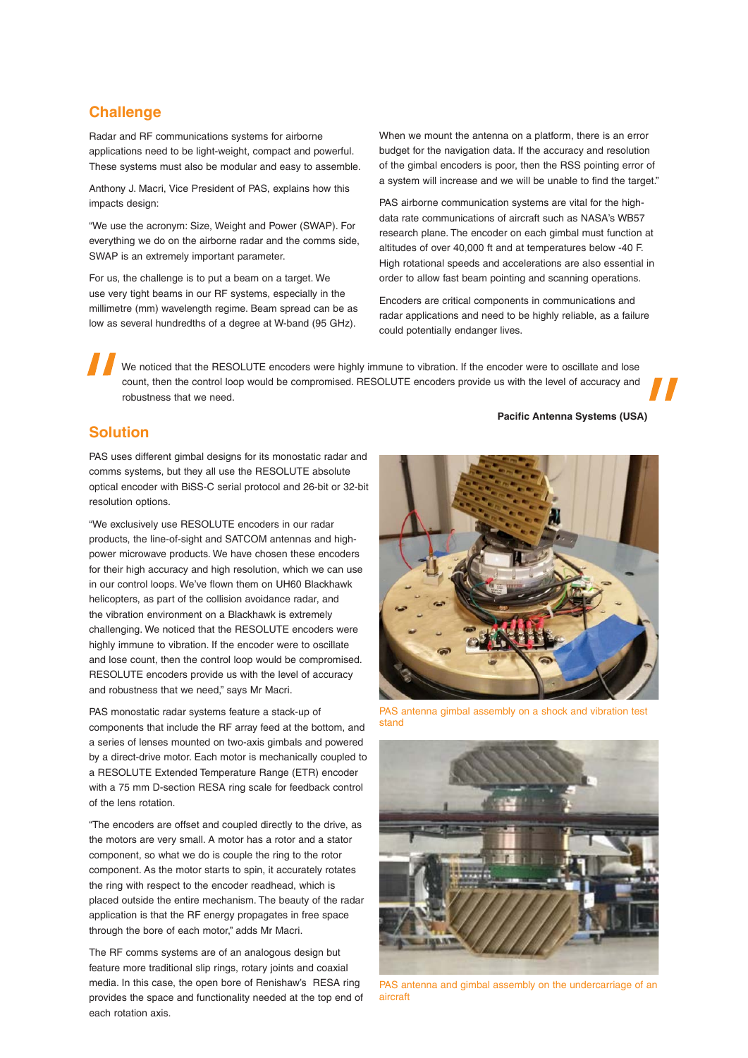#### **Challenge**

Radar and RF communications systems for airborne applications need to be light-weight, compact and powerful. These systems must also be modular and easy to assemble.

Anthony J. Macri, Vice President of PAS, explains how this impacts design:

"We use the acronym: Size, Weight and Power (SWAP). For everything we do on the airborne radar and the comms side, SWAP is an extremely important parameter.

For us, the challenge is to put a beam on a target. We use very tight beams in our RF systems, especially in the millimetre (mm) wavelength regime. Beam spread can be as low as several hundredths of a degree at W-band (95 GHz).

When we mount the antenna on a platform, there is an error budget for the navigation data. If the accuracy and resolution of the gimbal encoders is poor, then the RSS pointing error of a system will increase and we will be unable to find the target."

PAS airborne communication systems are vital for the highdata rate communications of aircraft such as NASA's WB57 research plane. The encoder on each gimbal must function at altitudes of over 40,000 ft and at temperatures below ‑40 F. High rotational speeds and accelerations are also essential in order to allow fast beam pointing and scanning operations.

Encoders are critical components in communications and radar applications and need to be highly reliable, as a failure could potentially endanger lives.

We noticed that the RESOLUTE encoders were highly immune to vibration. If the encoder were to oscillate and lose count, then the control loop would be compromised. RESOLUTE encoders provide us with the level of accuracy and robustness that we need.

#### **Solution**

PAS uses different gimbal designs for its monostatic radar and comms systems, but they all use the RESOLUTE absolute optical encoder with BiSS-C serial protocol and 26-bit or 32-bit resolution options.

"We exclusively use RESOLUTE encoders in our radar products, the line-of-sight and SATCOM antennas and highpower microwave products. We have chosen these encoders for their high accuracy and high resolution, which we can use in our control loops. We've flown them on UH60 Blackhawk helicopters, as part of the collision avoidance radar, and the vibration environment on a Blackhawk is extremely challenging. We noticed that the RESOLUTE encoders were highly immune to vibration. If the encoder were to oscillate and lose count, then the control loop would be compromised. RESOLUTE encoders provide us with the level of accuracy and robustness that we need," says Mr Macri.

PAS monostatic radar systems feature a stack-up of components that include the RF array feed at the bottom, and a series of lenses mounted on two-axis gimbals and powered by a direct-drive motor. Each motor is mechanically coupled to a RESOLUTE Extended Temperature Range (ETR) encoder with a 75 mm D-section RESA ring scale for feedback control of the lens rotation.

"The encoders are offset and coupled directly to the drive, as the motors are very small. A motor has a rotor and a stator component, so what we do is couple the ring to the rotor component. As the motor starts to spin, it accurately rotates the ring with respect to the encoder readhead, which is placed outside the entire mechanism. The beauty of the radar application is that the RF energy propagates in free space through the bore of each motor," adds Mr Macri.

The RF comms systems are of an analogous design but feature more traditional slip rings, rotary joints and coaxial media. In this case, the open bore of Renishaw's RESA ring provides the space and functionality needed at the top end of each rotation axis.

**Pacific Antenna Systems (USA)**



PAS antenna gimbal assembly on a shock and vibration test stand



PAS antenna and gimbal assembly on the undercarriage of an aircraft